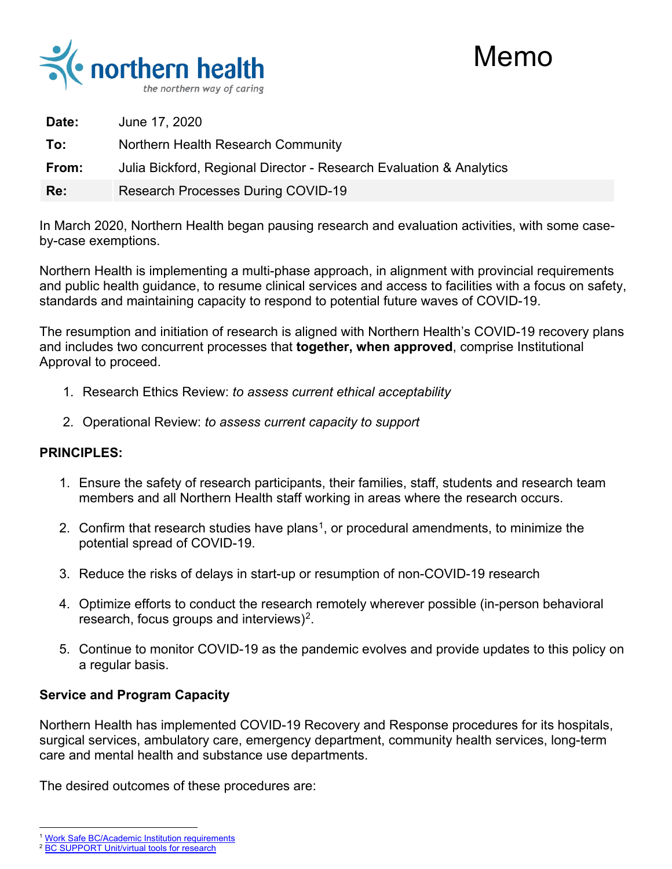



| ∶ Date: | <b>June 17, 2020</b>                                                |  |
|---------|---------------------------------------------------------------------|--|
| ⊹ То:   | <b>Northern Health Research Community</b>                           |  |
| From:   | Julia Bickford, Regional Director - Research Evaluation & Analytics |  |
| :Re:    | Research Processes During COVID-19                                  |  |

In March 2020, Northern Health began pausing research and evaluation activities, with some caseby-case exemptions.

Northern Health is implementing a multi-phase approach, in alignment with provincial requirements and public health guidance, to resume clinical services and access to facilities with a focus on safety, standards and maintaining capacity to respond to potential future waves of COVID-19.

The resumption and initiation of research is aligned with Northern Health's COVID-19 recovery plans and includes two concurrent processes that **together, when approved**, comprise Institutional Approval to proceed.

- 1. Research Ethics Review: *to assess current ethical acceptability*
- 2. Operational Review: *to assess current capacity to support*

## **PRINCIPLES:**

- 1. Ensure the safety of research participants, their families, staff, students and research team members and all Northern Health staff working in areas where the research occurs.
- 2. Confirm that research studies have plans<sup>1</sup>, or procedural amendments, to minimize the potential spread of COVID-19.
- 3. Reduce the risks of delays in start-up or resumption of non-COVID-19 research
- 4. Optimize efforts to conduct the research remotely wherever possible (in-person behavioral research, focus groups and interviews)<sup>[2](#page-0-1)</sup>.
- 5. Continue to monitor COVID-19 as the pandemic evolves and provide updates to this policy on a regular basis.

## **Service and Program Capacity**

Northern Health has implemented COVID-19 Recovery and Response procedures for its hospitals, surgical services, ambulatory care, emergency department, community health services, long-term care and mental health and substance use departments.

The desired outcomes of these procedures are:

 $\overline{a}$ <sup>1</sup> [Work Safe BC/Academic Institution requirements](https://www.worksafebc.com/en/about-us/covid-19-updates)

<span id="page-0-1"></span><span id="page-0-0"></span><sup>&</sup>lt;sup>2</sup> [BC SUPPORT Unit/virtual tools for research](https://bcsupportunit.ca/virtual-tools-por-during-covid-19)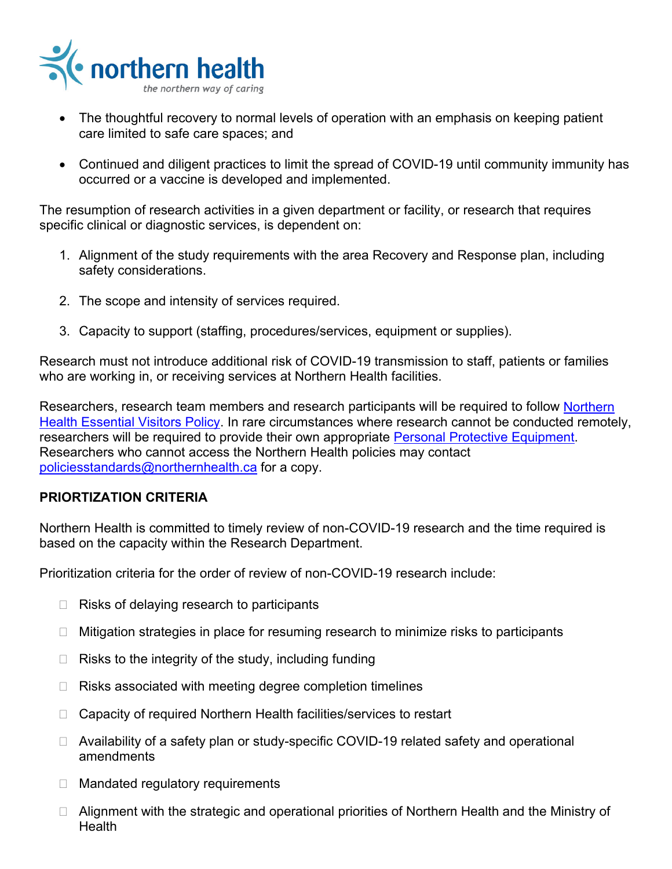

- The thoughtful recovery to normal levels of operation with an emphasis on keeping patient care limited to safe care spaces; and
- Continued and diligent practices to limit the spread of COVID-19 until community immunity has occurred or a vaccine is developed and implemented.

The resumption of research activities in a given department or facility, or research that requires specific clinical or diagnostic services, is dependent on:

- 1. Alignment of the study requirements with the area Recovery and Response plan, including safety considerations.
- 2. The scope and intensity of services required.
- 3. Capacity to support (staffing, procedures/services, equipment or supplies).

Research must not introduce additional risk of COVID-19 transmission to staff, patients or families who are working in, or receiving services at Northern Health facilities.

Researchers, research team members and research participants will be required to follow Northern [Health Essential Visitors Policy.](https://ournh.northernhealth.ca/PoliciesProcedures/DST%20Published%20Policies/2-5-1-100.pdf) In rare circumstances where research cannot be conducted remotely, researchers will be required to provide their own appropriate [Personal Protective Equipment.](https://physicians.northernhealth.ca/sites/physicians/files/physician-resources/covid-19/PPE-required-patient-care-aeas-acute-and-LTC.pdf) Researchers who cannot access the Northern Health policies may contact [policiesstandards@northernhealth.ca](mailto:policiesstandards@northernhealth.ca) for a copy.

## **PRIORTIZATION CRITERIA**

Northern Health is committed to timely review of non-COVID-19 research and the time required is based on the capacity within the Research Department.

Prioritization criteria for the order of review of non-COVID-19 research include:

- $\Box$  Risks of delaying research to participants
- $\Box$  Mitigation strategies in place for resuming research to minimize risks to participants
- $\Box$  Risks to the integrity of the study, including funding
- $\Box$  Risks associated with meeting degree completion timelines
- □ Capacity of required Northern Health facilities/services to restart
- □ Availability of a safety plan or study-specific COVID-19 related safety and operational amendments
- □ Mandated regulatory requirements
- $\Box$  Alignment with the strategic and operational priorities of Northern Health and the Ministry of **Health**